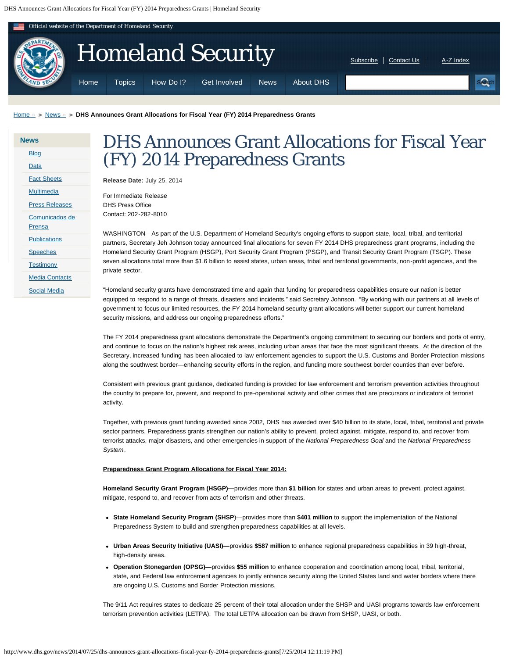<span id="page-0-0"></span>

[Home](http://www.dhs.gov/) » > [News](http://www.dhs.gov/news) » > [DHS Announces Grant Allocations for Fiscal Year \(FY\) 2014 Preparedness Grants](#page-0-0)

| <b>News</b> |                       |  |  |
|-------------|-----------------------|--|--|
|             | <b>Blog</b>           |  |  |
|             | Data                  |  |  |
|             | <b>Fact Sheets</b>    |  |  |
|             | <b>Multimedia</b>     |  |  |
|             | <b>Press Releases</b> |  |  |
|             | Comunicados de        |  |  |
|             | <b>Prensa</b>         |  |  |
|             | <b>Publications</b>   |  |  |
|             | <b>Speeches</b>       |  |  |
|             | <b>Testimony</b>      |  |  |
|             | <b>Media Contacts</b> |  |  |
|             | <b>Social Media</b>   |  |  |
|             |                       |  |  |

## DHS Announces Grant Allocations for Fiscal Year (FY) 2014 Preparedness Grants

**Release Date:** July 25, 2014

For Immediate Release DHS Press Office Contact: 202-282-8010

WASHINGTON—As part of the U.S. Department of Homeland Security's ongoing efforts to support state, local, tribal, and territorial partners, Secretary Jeh Johnson today announced final allocations for seven FY 2014 DHS preparedness grant programs, including the Homeland Security Grant Program (HSGP), Port Security Grant Program (PSGP), and Transit Security Grant Program (TSGP). These seven allocations total more than \$1.6 billion to assist states, urban areas, tribal and territorial governments, non-profit agencies, and the private sector.

"Homeland security grants have demonstrated time and again that funding for preparedness capabilities ensure our nation is better equipped to respond to a range of threats, disasters and incidents," said Secretary Johnson. "By working with our partners at all levels of government to focus our limited resources, the FY 2014 homeland security grant allocations will better support our current homeland security missions, and address our ongoing preparedness efforts."

The FY 2014 preparedness grant allocations demonstrate the Department's ongoing commitment to securing our borders and ports of entry, and continue to focus on the nation's highest risk areas, including urban areas that face the most significant threats. At the direction of the Secretary, increased funding has been allocated to law enforcement agencies to support the U.S. Customs and Border Protection missions along the southwest border—enhancing security efforts in the region, and funding more southwest border counties than ever before.

Consistent with previous grant guidance, dedicated funding is provided for law enforcement and terrorism prevention activities throughout the country to prepare for, prevent, and respond to pre-operational activity and other crimes that are precursors or indicators of terrorist activity.

Together, with previous grant funding awarded since 2002, DHS has awarded over \$40 billion to its state, local, tribal, territorial and private sector partners. Preparedness grants strengthen our nation's ability to prevent, protect against, mitigate, respond to, and recover from terrorist attacks, major disasters, and other emergencies in support of the *National Preparedness Goal* and the *National Preparedness System*.

## **Preparedness Grant Program Allocations for Fiscal Year 2014:**

**Homeland Security Grant Program (HSGP)—**provides more than **\$1 billion** for states and urban areas to prevent, protect against, mitigate, respond to, and recover from acts of terrorism and other threats.

- **State Homeland Security Program (SHSP**)—provides more than **\$401 million** to support the implementation of the National Preparedness System to build and strengthen preparedness capabilities at all levels.
- **Urban Areas Security Initiative (UASI)—**provides **\$587 million** to enhance regional preparedness capabilities in 39 high-threat, high-density areas.
- **Operation Stonegarden (OPSG)—**provides **\$55 million** to enhance cooperation and coordination among local, tribal, territorial, state, and Federal law enforcement agencies to jointly enhance security along the United States land and water borders where there are ongoing U.S. Customs and Border Protection missions.

The 9/11 Act requires states to dedicate 25 percent of their total allocation under the SHSP and UASI programs towards law enforcement terrorism prevention activities (LETPA). The total LETPA allocation can be drawn from SHSP, UASI, or both.